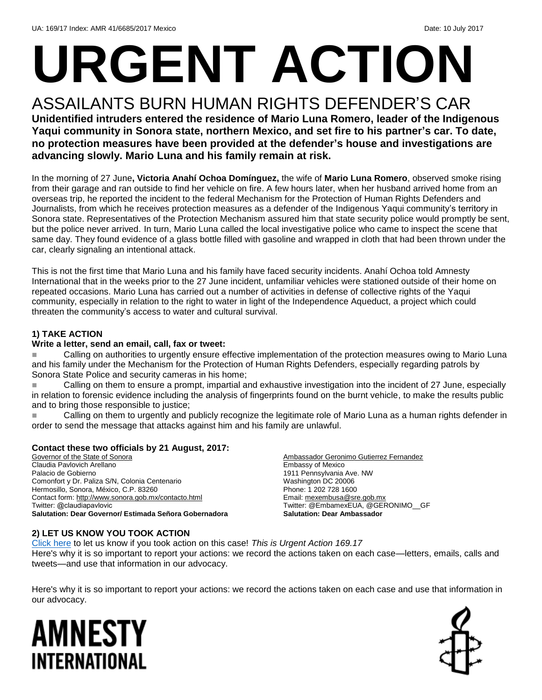# **URGENT ACTION**

### ASSAILANTS BURN HUMAN RIGHTS DEFENDER'S CAR **Unidentified intruders entered the residence of Mario Luna Romero, leader of the Indigenous**

**Yaqui community in Sonora state, northern Mexico, and set fire to his partner's car. To date, no protection measures have been provided at the defender's house and investigations are advancing slowly. Mario Luna and his family remain at risk.** 

In the morning of 27 June**, Victoria Anahí Ochoa Domínguez,** the wife of **Mario Luna Romero**, observed smoke rising from their garage and ran outside to find her vehicle on fire. A few hours later, when her husband arrived home from an overseas trip, he reported the incident to the federal Mechanism for the Protection of Human Rights Defenders and Journalists, from which he receives protection measures as a defender of the Indigenous Yaqui community's territory in Sonora state. Representatives of the Protection Mechanism assured him that state security police would promptly be sent, but the police never arrived. In turn, Mario Luna called the local investigative police who came to inspect the scene that same day. They found evidence of a glass bottle filled with gasoline and wrapped in cloth that had been thrown under the car, clearly signaling an intentional attack.

This is not the first time that Mario Luna and his family have faced security incidents. Anahí Ochoa told Amnesty International that in the weeks prior to the 27 June incident, unfamiliar vehicles were stationed outside of their home on repeated occasions. Mario Luna has carried out a number of activities in defense of collective rights of the Yaqui community, especially in relation to the right to water in light of the Independence Aqueduct, a project which could threaten the community's access to water and cultural survival.

#### **1) TAKE ACTION**

#### **Write a letter, send an email, call, fax or tweet:**

 Calling on authorities to urgently ensure effective implementation of the protection measures owing to Mario Luna and his family under the Mechanism for the Protection of Human Rights Defenders, especially regarding patrols by Sonora State Police and security cameras in his home;

 Calling on them to ensure a prompt, impartial and exhaustive investigation into the incident of 27 June, especially in relation to forensic evidence including the analysis of fingerprints found on the burnt vehicle, to make the results public and to bring those responsible to justice;

 Calling on them to urgently and publicly recognize the legitimate role of Mario Luna as a human rights defender in order to send the message that attacks against him and his family are unlawful.

#### **Contact these two officials by 21 August, 2017:**

Governor of the State of Sonora Claudia Pavlovich Arellano Palacio de Gobierno Comonfort y Dr. Paliza S/N, Colonia Centenario Hermosillo, Sonora, México, C.P. 83260 Contact form[: http://www.sonora.gob.mx/contacto.html](http://www.sonora.gob.mx/contacto.html) Twitter: @claudiapavlovic **Salutation: Dear Governor/ Estimada Señora Gobernadora**

#### Ambassador Geronimo Gutierrez Fernandez Embassy of Mexico 1911 Pennsylvania Ave. NW Washington DC 20006 Phone: 1 202 728 1600 Email[: mexembusa@sre.gob.mx](mailto:mexembusa@sre.gob.mx) Twitter: @EmbamexEUA, @GERONIMO\_\_GF **Salutation: Dear Ambassador**

#### **2) LET US KNOW YOU TOOK ACTION**

[Click here](https://docs.google.com/forms/d/e/1FAIpQLSf3RUspces4lA9Gt7Fp9GiAcojCs6fnfFOTCLli3Su6c3S8ew/viewform) to let us know if you took action on this case! *This is Urgent Action 169.17* Here's why it is so important to report your actions: we record the actions taken on each case—letters, emails, calls and tweets—and use that information in our advocacy.

Here's why it is so important to report your actions: we record the actions taken on each case and use that information in our advocacy.